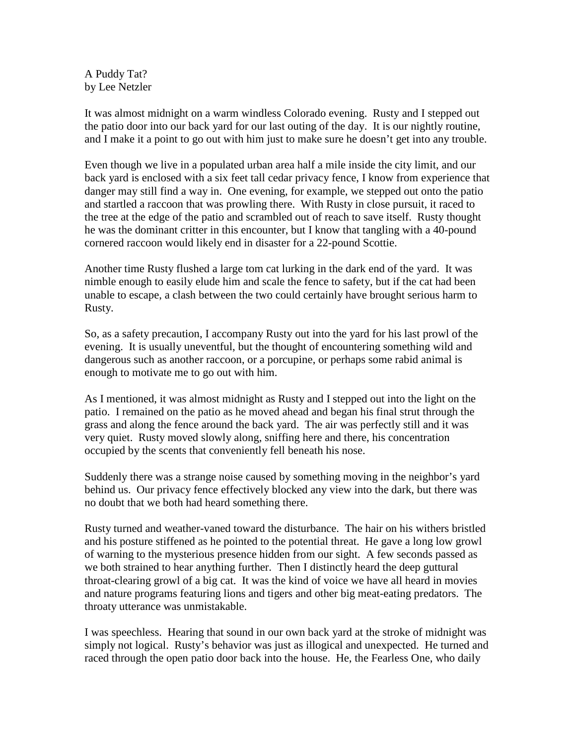A Puddy Tat? by Lee Netzler

It was almost midnight on a warm windless Colorado evening. Rusty and I stepped out the patio door into our back yard for our last outing of the day. It is our nightly routine, and I make it a point to go out with him just to make sure he doesn't get into any trouble.

Even though we live in a populated urban area half a mile inside the city limit, and our back yard is enclosed with a six feet tall cedar privacy fence, I know from experience that danger may still find a way in. One evening, for example, we stepped out onto the patio and startled a raccoon that was prowling there. With Rusty in close pursuit, it raced to the tree at the edge of the patio and scrambled out of reach to save itself. Rusty thought he was the dominant critter in this encounter, but I know that tangling with a 40-pound cornered raccoon would likely end in disaster for a 22-pound Scottie.

Another time Rusty flushed a large tom cat lurking in the dark end of the yard. It was nimble enough to easily elude him and scale the fence to safety, but if the cat had been unable to escape, a clash between the two could certainly have brought serious harm to Rusty.

So, as a safety precaution, I accompany Rusty out into the yard for his last prowl of the evening. It is usually uneventful, but the thought of encountering something wild and dangerous such as another raccoon, or a porcupine, or perhaps some rabid animal is enough to motivate me to go out with him.

As I mentioned, it was almost midnight as Rusty and I stepped out into the light on the patio. I remained on the patio as he moved ahead and began his final strut through the grass and along the fence around the back yard. The air was perfectly still and it was very quiet. Rusty moved slowly along, sniffing here and there, his concentration occupied by the scents that conveniently fell beneath his nose.

Suddenly there was a strange noise caused by something moving in the neighbor's yard behind us. Our privacy fence effectively blocked any view into the dark, but there was no doubt that we both had heard something there.

Rusty turned and weather-vaned toward the disturbance. The hair on his withers bristled and his posture stiffened as he pointed to the potential threat. He gave a long low growl of warning to the mysterious presence hidden from our sight. A few seconds passed as we both strained to hear anything further. Then I distinctly heard the deep guttural throat-clearing growl of a big cat. It was the kind of voice we have all heard in movies and nature programs featuring lions and tigers and other big meat-eating predators. The throaty utterance was unmistakable.

I was speechless. Hearing that sound in our own back yard at the stroke of midnight was simply not logical. Rusty's behavior was just as illogical and unexpected. He turned and raced through the open patio door back into the house. He, the Fearless One, who daily